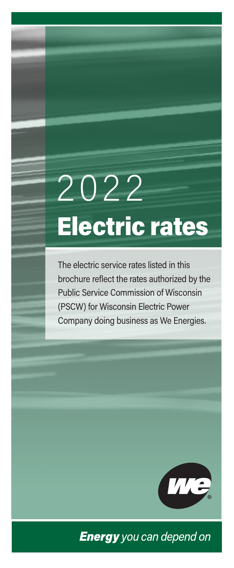# 2022 Electric rates

The electric service rates listed in this brochure reflect the rates authorized by the Public Service Commission of Wisconsin (PSCW) for Wisconsin Electric Power Company doing business as We Energies.



**Energy** you can depend on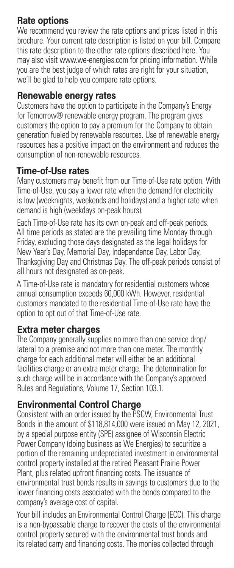## **Rate options**

We recommend you review the rate options and prices listed in this brochure. Your current rate description is listed on your bill. Compare this rate description to the other rate options described here. You may also visit www.we-energies.com for pricing information. While you are the best judge of which rates are right for your situation, we'll be glad to help you compare rate options.

### **Renewable energy rates**

Customers have the option to participate in the Company's Energy for Tomorrow® renewable energy program. The program gives customers the option to pay a premium for the Company to obtain generation fueled by renewable resources. Use of renewable energy resources has a positive impact on the environment and reduces the consumption of non-renewable resources.

#### **Time-of-Use rates**

Many customers may benefit from our Time-of-Use rate option. With Time-of-Use, you pay a lower rate when the demand for electricity is low (weeknights, weekends and holidays) and a higher rate when demand is high (weekdays on-peak hours).

Each Time-of-Use rate has its own on-peak and off-peak periods. All time periods as stated are the prevailing time Monday through Friday, excluding those days designated as the legal holidays for New Year's Day, Memorial Day, Independence Day, Labor Day, Thanksgiving Day and Christmas Day. The off-peak periods consist of all hours not designated as on-peak.

A Time-of-Use rate is mandatory for residential customers whose annual consumption exceeds 60,000 kWh. However, residential customers mandated to the residential Time-of-Use rate have the option to opt out of that Time-of-Use rate.

## **Extra meter charges**

The Company generally supplies no more than one service drop/ lateral to a premise and not more than one meter. The monthly charge for each additional meter will either be an additional facilities charge or an extra meter charge. The determination for such charge will be in accordance with the Company's approved Rules and Regulations, Volume 17, Section 103.1.

## **Environmental Control Charge**

Consistent with an order issued by the PSCW, Environmental Trust Bonds in the amount of \$118,814,000 were issued on May 12, 2021, by a special purpose entity (SPE) assignee of Wisconsin Electric Power Company (doing business as We Energies) to securitize a portion of the remaining undepreciated investment in environmental control property installed at the retired Pleasant Prairie Power Plant, plus related upfront financing costs. The issuance of environmental trust bonds results in savings to customers due to the lower financing costs associated with the bonds compared to the company's average cost of capital.

Your bill includes an Environmental Control Charge (ECC). This charge is a non-bypassable charge to recover the costs of the environmental control property secured with the environmental trust bonds and its related carry and financing costs. The monies collected through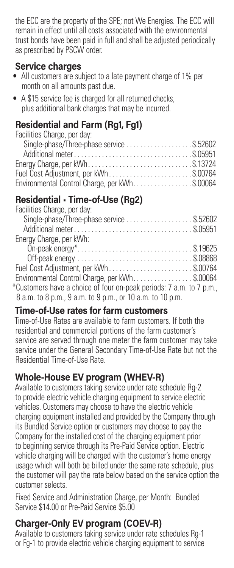the ECC are the property of the SPE; not We Energies. The ECC will remain in effect until all costs associated with the environmental trust bonds have been paid in full and shall be adjusted periodically as prescribed by PSCW order.

## **Service charges**

- All customers are subject to a late payment charge of 1% per month on all amounts past due.
- A \$15 service fee is charged for all returned checks, plus additional bank charges that may be incurred.

## **Residential and Farm (Rg1, Fg1)**

| Facilities Charge, per day:                   |  |
|-----------------------------------------------|--|
| Single-phase/Three-phase service \$.52602     |  |
|                                               |  |
| Energy Charge, per kWh\$.13724                |  |
| Fuel Cost Adjustment, per kWh\$.00764         |  |
| Environmental Control Charge, per kWh\$.00064 |  |

## **Residential • Time-of-Use (Rg2)**

## **Time-of-Use rates for farm customers**

Time-of-Use Rates are available to farm customers. If both the residential and commercial portions of the farm customer's service are served through one meter the farm customer may take service under the General Secondary Time-of-Use Rate but not the Residential Time-of-Use Rate.

## **Whole-House EV program (WHEV-R)**

Available to customers taking service under rate schedule Rg-2 to provide electric vehicle charging equipment to service electric vehicles. Customers may choose to have the electric vehicle charging equipment installed and provided by the Company through its Bundled Service option or customers may choose to pay the Company for the installed cost of the charging equipment prior to beginning service through its Pre-Paid Service option. Electric vehicle charging will be charged with the customer's home energy usage which will both be billed under the same rate schedule, plus the customer will pay the rate below based on the service option the customer selects.

Fixed Service and Administration Charge, per Month: Bundled Service \$14.00 or Pre-Paid Service \$5.00

## **Charger-Only EV program (COEV-R)**

Available to customers taking service under rate schedules Rg-1 or Fg-1 to provide electric vehicle charging equipment to service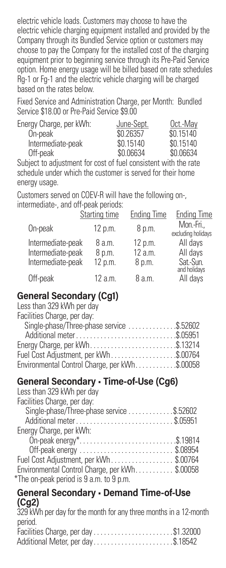electric vehicle loads. Customers may choose to have the electric vehicle charging equipment installed and provided by the Company through its Bundled Service option or customers may choose to pay the Company for the installed cost of the charging equipment prior to beginning service through its Pre-Paid Service option. Home energy usage will be billed based on rate schedules Rg-1 or Fg-1 and the electric vehicle charging will be charged based on the rates below.

Fixed Service and Administration Charge, per Month: Bundled Service \$18.00 or Pre-Paid Service \$9.00

| Energy Charge, per kWh: | June-Sept. | Oct.-May  |
|-------------------------|------------|-----------|
| On-peak                 | \$0.26357  | \$0.15140 |
| Intermediate-peak       | \$0.15140  | \$0.15140 |
| Off-peak                | \$0.06634  | \$0.06634 |

Subject to adjustment for cost of fuel consistent with the rate schedule under which the customer is served for their home energy usage.

Customers served on COEV-R will have the following on-, intermediate-, and off-peak periods:

|                                                             | <b>Starting time</b>        | <b>Ending Time</b>           | <b>Ending Time</b>               |
|-------------------------------------------------------------|-----------------------------|------------------------------|----------------------------------|
| On-peak                                                     | 12 p.m.                     | 8 p.m.                       | Mon.-Fri.,<br>excluding holidays |
| Intermediate-peak<br>Intermediate-peak<br>Intermediate-peak | 8 a.m.<br>8 p.m.<br>12 p.m. | 12 p.m.<br>12 a.m.<br>8 p.m. | All days<br>All days<br>Sat-Sun. |
| Off-peak                                                    | 12 a.m.                     | 8 a.m.                       | and holidays<br>All days         |

## **General Secondary (Cg1)**

| Less than 329 kWh per day                       |  |
|-------------------------------------------------|--|
| Facilities Charge, per day:                     |  |
| Single-phase/Three-phase service \$.52602       |  |
|                                                 |  |
| Energy Charge, per kWh\$.13214                  |  |
| Fuel Cost Adjustment, per kWh\$.00764           |  |
| Environmental Control Charge, per kWh. \$.00058 |  |
|                                                 |  |

## **General Secondary • Time-of-Use (Cg6)**

| Less than 329 kWh per day                     |  |
|-----------------------------------------------|--|
| Facilities Charge, per day:                   |  |
| Single-phase/Three-phase service \$.52602     |  |
| Additional meter\$.05951                      |  |
| Energy Charge, per kWh:                       |  |
| On-peak energy*\$.19814                       |  |
|                                               |  |
| Fuel Cost Adjustment, per kWh\$.00764         |  |
| Environmental Control Charge, per kWh\$.00058 |  |
| *The on-peak period is 9 a.m. to 9 p.m.       |  |
|                                               |  |

#### **General Secondary • Demand Time-of-Use (Cg2)**

329 kWh per day for the month for any three months in a 12-month period.

| Facilities Charge, per day\$1.32000 |  |
|-------------------------------------|--|
| Additional Meter, per day\$.18542   |  |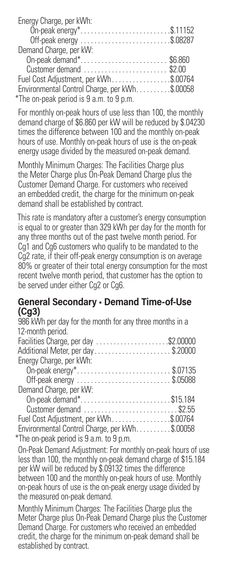| Energy Charge, per kWh:                       |  |
|-----------------------------------------------|--|
| On-peak energy*\$.11152                       |  |
|                                               |  |
| Demand Charge, per kW:                        |  |
| On-peak demand*\$6.860                        |  |
| Customer demand  \$2.00                       |  |
| Fuel Cost Adjustment, per kWh\$.00764         |  |
| Environmental Control Charge, per kWh\$.00058 |  |
| *The on-peak period is 9 a.m. to 9 p.m.       |  |

For monthly on-peak hours of use less than 100, the monthly demand charge of \$6.860 per kW will be reduced by \$.04230 times the difference between 100 and the monthly on-peak hours of use. Monthly on-peak hours of use is the on-peak energy usage divided by the measured on-peak demand.

Monthly Minimum Charges: The Facilities Charge plus the Meter Charge plus On-Peak Demand Charge plus the Customer Demand Charge. For customers who received an embedded credit, the charge for the minimum on-peak demand shall be established by contract.

This rate is mandatory after a customer's energy consumption is equal to or greater than 329 kWh per day for the month for any three months out of the past twelve month period. For Cg1 and Cg6 customers who qualify to be mandated to the Cg2 rate, if their off-peak energy consumption is on average 80% or greater of their total energy consumption for the most recent twelve month period, that customer has the option to be served under either Cg2 or Cg6.

#### **General Secondary • Demand Time-of-Use (Cg3)**

| 986 kWh per day for the month for any three months in a |
|---------------------------------------------------------|
| 12-month period.                                        |
| Facilities Charge, per day \$2.00000                    |
| Additional Meter, per day\$.20000                       |
| Energy Charge, per kWh:                                 |
| On-peak energy*\$.07135                                 |
|                                                         |
| Demand Charge, per kW:                                  |
| On-peak demand*\$15.184                                 |
| Customer demand \$2.55                                  |
| Fuel Cost Adjustment, per kWh\$.00764                   |
| Environmental Control Charge, per kWh\$.00058           |
| The on-peak period is 9 a.m. to 9 p.m.                  |
|                                                         |

On-Peak Demand Adjustment: For monthly on-peak hours of use less than 100, the monthly on-peak demand charge of \$15.184 per kW will be reduced by \$.09132 times the difference between 100 and the monthly on-peak hours of use. Monthly on-peak hours of use is the on-peak energy usage divided by the measured on-peak demand.

Monthly Minimum Charges: The Facilities Charge plus the Meter Charge plus On-Peak Demand Charge plus the Customer Demand Charge. For customers who received an embedded credit, the charge for the minimum on-peak demand shall be established by contract.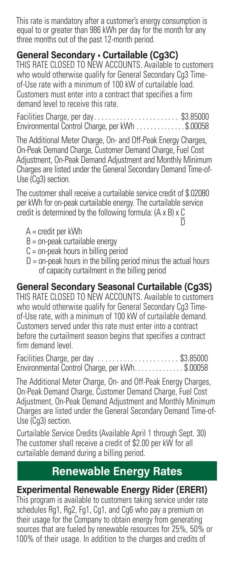This rate is mandatory after a customer's energy consumption is equal to or greater than 986 kWh per day for the month for any three months out of the past 12-month period.

## **General Secondary • Curtailable (Cg3C)**

THIS RATE CLOSED TO NEW ACCOUNTS. Available to customers who would otherwise qualify for General Secondary Cq3 Timeof-Use rate with a minimum of 100 kW of curtailable load. Customers must enter into a contract that specifies a firm demand level to receive this rate.

Facilities Charge, per day . . . . . . . . . . . . . . . . . . . . . . . \$3.85000 Environmental Control Charge, per kWh . . . . . . . . . . . . \$.00058

The Additional Meter Charge, On- and Off-Peak Energy Charges, On-Peak Demand Charge, Customer Demand Charge, Fuel Cost Adjustment, On-Peak Demand Adjustment and Monthly Minimum Charges are listed under the General Secondary Demand Time-of-Use (Cg3) section.

The customer shall receive a curtailable service credit of \$.02080 per kWh for on-peak curtailable energy. The curtailable service credit is determined by the following formula: (A x B) x C <u>D</u>

- $A = \text{credit per kWh}$
- $B =$  on-peak curtailable energy
- $C =$  on-peak hours in billing period
- $D =$  on-peak hours in the billing period minus the actual hours of capacity curtailment in the billing period

## **General Secondary Seasonal Curtailable (Cg3S)**

THIS RATE CLOSED TO NEW ACCOUNTS. Available to customers who would otherwise qualify for General Secondary Cg3 Timeof-Use rate, with a minimum of 100 kW of curtailable demand. Customers served under this rate must enter into a contract before the curtailment season begins that specifies a contract firm demand level.

| Facilities Charge, per day \$3.85000            |  |
|-------------------------------------------------|--|
| Environmental Control Charge, per kWh. \$.00058 |  |

The Additional Meter Charge, On- and Off-Peak Energy Charges, On-Peak Demand Charge, Customer Demand Charge, Fuel Cost Adjustment, On-Peak Demand Adjustment and Monthly Minimum Charges are listed under the General Secondary Demand Time-of-Use (Ca3) section.

Curtailable Service Credits (Available April 1 through Sept. 30) The customer shall receive a credit of \$2.00 per kW for all curtailable demand during a billing period.

## **Renewable Energy Rates**

## **Experimental Renewable Energy Rider (ERER1)**

This program is available to customers taking service under rate schedules Rg1, Rg2, Fg1, Cg1, and Cg6 who pay a premium on their usage for the Company to obtain energy from generating sources that are fueled by renewable resources for 25%, 50% or 100% of their usage. In addition to the charges and credits of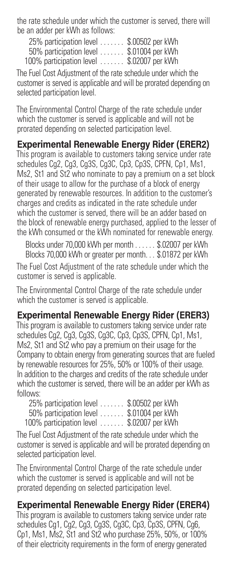the rate schedule under which the customer is served, there will be an adder per kWh as follows:

| 25% participation level  | \$.00502 per kWh |
|--------------------------|------------------|
| 50% participation level  | \$.01004 per kWh |
| 100% participation level | \$.02007 per kWh |

The Fuel Cost Adjustment of the rate schedule under which the customer is served is applicable and will be prorated depending on selected participation level.

The Environmental Control Charge of the rate schedule under which the customer is served is applicable and will not be prorated depending on selected participation level.

**Experimental Renewable Energy Rider (ERER2)** This program is available to customers taking service under rate schedules Cg2, Cg3, Cg3S, Cg3C, Cp3, Cp3S, CPFN, Cp1, Ms1, Ms2, St1 and St2 who nominate to pay a premium on a set block of their usage to allow for the purchase of a block of energy generated by renewable resources. In addition to the customer's charges and credits as indicated in the rate schedule under which the customer is served, there will be an adder based on the block of renewable energy purchased, applied to the lesser of the kWh consumed or the kWh nominated for renewable energy.

Blocks under 70,000 kWh per month . . . . . . \$.02007 per kWh Blocks 70,000 kWh or greater per month. . . \$.01872 per kWh The Fuel Cost Adjustment of the rate schedule under which the customer is served is applicable.

The Environmental Control Charge of the rate schedule under which the customer is served is applicable.

## **Experimental Renewable Energy Rider (ERER3)**

This program is available to customers taking service under rate schedules Cg2, Cg3, Cg3S, Cg3C, Cp3, Cp3S, CPFN, Cp1, Ms1, Ms2, St1 and St2 who pay a premium on their usage for the Company to obtain energy from generating sources that are fueled by renewable resources for 25%, 50% or 100% of their usage. In addition to the charges and credits of the rate schedule under which the customer is served, there will be an adder per kWh as follows:

| 25% participation level                    | \$.00502 per kWh |
|--------------------------------------------|------------------|
| $50\%$ participation level $\ldots \ldots$ | \$.01004 per kWh |
| 100% participation level                   | \$.02007 per kWh |

The Fuel Cost Adjustment of the rate schedule under which the customer is served is applicable and will be prorated depending on selected participation level.

The Environmental Control Charge of the rate schedule under which the customer is served is applicable and will not be prorated depending on selected participation level.

## **Experimental Renewable Energy Rider (ERER4)**

This program is available to customers taking service under rate schedules Cg1, Cg2, Cg3, Cg3S, Cg3C, Cp3, Cp3S, CPFN, Cg6, Cp1, Ms1, Ms2, St1 and St2 who purchase 25%, 50%, or 100% of their electricity requirements in the form of energy generated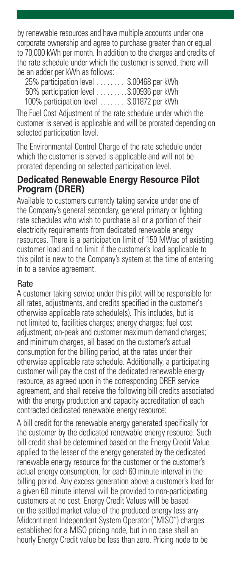by renewable resources and have multiple accounts under one corporate ownership and agree to purchase greater than or equal to 70,000 kWh per month. In addition to the charges and credits of the rate schedule under which the customer is served, there will be an adder per kWh as follows:

| 25% participation level<br>e vivial de   | \$.00468 per kWh |
|------------------------------------------|------------------|
| 50% participation level \$.00936 per kWh |                  |
| 100% participation level                 | \$.01872 per kWh |

The Fuel Cost Adjustment of the rate schedule under which the customer is served is applicable and will be prorated depending on selected participation level.

The Environmental Control Charge of the rate schedule under which the customer is served is applicable and will not be prorated depending on selected participation level.

#### **Dedicated Renewable Energy Resource Pilot Program (DRER)**

Available to customers currently taking service under one of the Company's general secondary, general primary or lighting rate schedules who wish to purchase all or a portion of their electricity requirements from dedicated renewable energy resources. There is a participation limit of 150 MWac of existing customer load and no limit if the customer's load applicable to this pilot is new to the Company's system at the time of entering in to a service agreement.

#### **Rate**

A customer taking service under this pilot will be responsible for all rates, adjustments, and credits specified in the customer's otherwise applicable rate schedule(s). This includes, but is not limited to, facilities charges; energy charges; fuel cost adjustment; on-peak and customer maximum demand charges; and minimum charges, all based on the customer's actual consumption for the billing period, at the rates under their otherwise applicable rate schedule. Additionally, a participating customer will pay the cost of the dedicated renewable energy resource, as agreed upon in the corresponding DRER service agreement, and shall receive the following bill credits associated with the energy production and capacity accreditation of each contracted dedicated renewable energy resource:

A bill credit for the renewable energy generated specifically for the customer by the dedicated renewable energy resource. Such bill credit shall be determined based on the Energy Credit Value applied to the lesser of the energy generated by the dedicated renewable energy resource for the customer or the customer's actual energy consumption, for each 60 minute interval in the billing period. Any excess generation above a customer's load for a given 60 minute interval will be provided to non-participating customers at no cost. Energy Credit Values will be based on the settled market value of the produced energy less any Midcontinent Independent System Operator ("MISO") charges established for a MISO pricing node, but in no case shall an hourly Energy Credit value be less than zero. Pricing node to be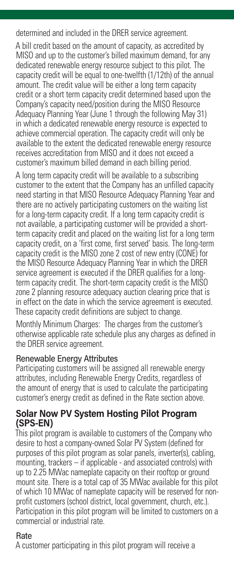determined and included in the DRER service agreement.

A bill credit based on the amount of capacity, as accredited by MISO and up to the customer's billed maximum demand, for any dedicated renewable energy resource subject to this pilot. The capacity credit will be equal to one-twelfth (1/12th) of the annual amount. The credit value will be either a long term capacity credit or a short term capacity credit determined based upon the Company's capacity need/position during the MISO Resource Adequacy Planning Year (June 1 through the following May 31) in which a dedicated renewable energy resource is expected to achieve commercial operation. The capacity credit will only be available to the extent the dedicated renewable energy resource receives accreditation from MISO and it does not exceed a customer's maximum billed demand in each billing period.

A long term capacity credit will be available to a subscribing customer to the extent that the Company has an unfilled capacity need starting in that MISO Resource Adequacy Planning Year and there are no actively participating customers on the waiting list for a long-term capacity credit. If a long term capacity credit is not available, a participating customer will be provided a shortterm capacity credit and placed on the waiting list for a long term capacity credit, on a 'first come, first served' basis. The long-term capacity credit is the MISO zone 2 cost of new entry (CONE) for the MISO Resource Adequacy Planning Year in which the DRER service agreement is executed if the DRER qualifies for a longterm capacity credit. The short-term capacity credit is the MISO zone 2 planning resource adequacy auction clearing price that is in effect on the date in which the service agreement is executed. These capacity credit definitions are subject to change.

Monthly Minimum Charges: The charges from the customer's otherwise applicable rate schedule plus any charges as defined in the DRER service agreement.

#### Renewable Energy Attributes

Participating customers will be assigned all renewable energy attributes, including Renewable Energy Credits, regardless of the amount of energy that is used to calculate the participating customer's energy credit as defined in the Rate section above.

#### **Solar Now PV System Hosting Pilot Program (SPS-EN)**

This pilot program is available to customers of the Company who desire to host a company-owned Solar PV System (defined for purposes of this pilot program as solar panels, inverter(s), cabling, mounting, trackers – if applicable - and associated controls) with up to 2.25 MWac nameplate capacity on their rooftop or ground mount site. There is a total cap of 35 MWac available for this pilot of which 10 MWac of nameplate capacity will be reserved for nonprofit customers (school district, local government, church, etc.). Participation in this pilot program will be limited to customers on a commercial or industrial rate.

#### Rate

A customer participating in this pilot program will receive a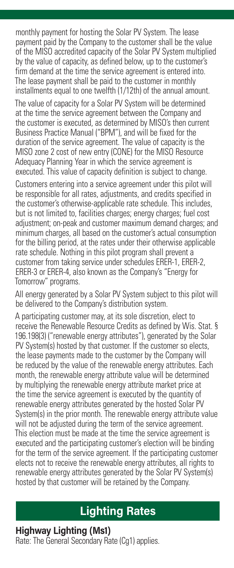monthly payment for hosting the Solar PV System. The lease payment paid by the Company to the customer shall be the value of the MISO accredited capacity of the Solar PV System multiplied by the value of capacity, as defined below, up to the customer's firm demand at the time the service agreement is entered into. The lease payment shall be paid to the customer in monthly installments equal to one twelfth (1/12th) of the annual amount.

The value of capacity for a Solar PV System will be determined at the time the service agreement between the Company and the customer is executed, as determined by MISO's then current Business Practice Manual ("BPM"), and will be fixed for the duration of the service agreement. The value of capacity is the MISO zone 2 cost of new entry (CONE) for the MISO Resource Adequacy Planning Year in which the service agreement is executed. This value of capacity definition is subject to change.

Customers entering into a service agreement under this pilot will be responsible for all rates, adjustments, and credits specified in the customer's otherwise-applicable rate schedule. This includes, but is not limited to, facilities charges; energy charges; fuel cost adjustment; on-peak and customer maximum demand charges; and minimum charges, all based on the customer's actual consumption for the billing period, at the rates under their otherwise applicable rate schedule. Nothing in this pilot program shall prevent a customer from taking service under schedules ERER-1, ERER-2, ERER-3 or ERER-4, also known as the Company's "Energy for Tomorrow" programs.

All energy generated by a Solar PV System subject to this pilot will be delivered to the Company's distribution system.

A participating customer may, at its sole discretion, elect to receive the Renewable Resource Credits as defined by Wis. Stat. § 196.198(3) ("renewable energy attributes"), generated by the Solar PV System(s) hosted by that customer. If the customer so elects, the lease payments made to the customer by the Company will be reduced by the value of the renewable energy attributes. Each month, the renewable energy attribute value will be determined by multiplying the renewable energy attribute market price at the time the service agreement is executed by the quantity of renewable energy attributes generated by the hosted Solar PV System(s) in the prior month. The renewable energy attribute value will not be adjusted during the term of the service agreement. This election must be made at the time the service agreement is executed and the participating customer's election will be binding for the term of the service agreement. If the participating customer elects not to receive the renewable energy attributes, all rights to renewable energy attributes generated by the Solar PV System(s) hosted by that customer will be retained by the Company.

## **Lighting Rates**

## **Highway Lighting (Ms1)**

Rate: The General Secondary Rate (Cg1) applies.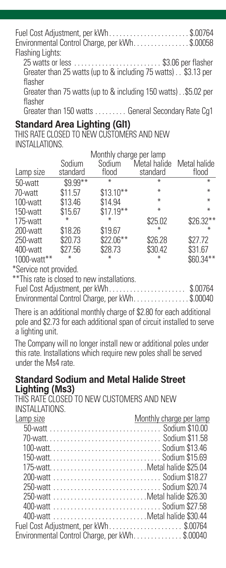Fuel Cost Adjustment, per kWh . . . . . . . . . . . . . . . . . . . . . . . \$.00764 Environmental Control Charge, per kWh...............\$.00058 Flashing Lights:

25 watts or less . . . . . . . . . . . . . . . . . . . . . . . . . \$3.06 per flasher Greater than 25 watts (up to & including 75 watts) . . \$3.13 per flasher

Greater than 75 watts (up to & including 150 watts) . \$5.02 per flasher

Greater than 150 watts . . . . . . . . . General Secondary Rate Cg1

## **Standard Area Lighting (Gl1)**

THIS RATE CLOSED TO NEW CUSTOMERS AND NEW INSTALLATIONS

|             | Monthly charge per lamp |            |              |              |  |
|-------------|-------------------------|------------|--------------|--------------|--|
|             | Sodium                  | Sodium     | Metal halide | Metal halide |  |
| Lamp size   | standard                | flood      | standard     | flood        |  |
| 50-watt     | \$9.99**                | ⋇          | ⋇            | $\ast$       |  |
| 70-watt     | \$11.57                 | $$13.10**$ | ⋇            | $\ast$       |  |
| 100-watt    | \$13.46                 | \$14.94    | $\ast$       | $\ast$       |  |
| 150-watt    | \$15.67                 | $$17.19**$ | ⋇            | $\ast$       |  |
| 175-watt    | ⋇                       | ∗          | \$25.02      | \$26.32**    |  |
| 200-watt    | \$18.26                 | \$19.67    | ⋇            | ⋇            |  |
| 250-watt    | \$20.73                 | \$22.06**  | \$26.28      | \$27.72      |  |
| 400-watt    | \$27.56                 | \$28.73    | \$30.42      | \$31.67      |  |
| 1000-watt** | $*$                     | ∗          | ⋇            | \$60.34**    |  |

\*Service not provided.

\*\*This rate is closed to new installations.

Fuel Cost Adjustment, per kWh . . . . . . . . . . . . . . . . . . . . . . \$.00764 Environmental Control Charge, per kWh. . . . . . . . . . . . . . \$.00040

There is an additional monthly charge of \$2.80 for each additional pole and \$2.73 for each additional span of circuit installed to serve a lighting unit.

The Company will no longer install new or additional poles under this rate. Installations which require new poles shall be served under the Ms4 rate.

#### **Standard Sodium and Metal Halide Street Lighting (Ms3)**

THIS RATE CLOSED TO NEW CUSTOMERS AND NEW INSTALLATIONS.

| Lamp size                                     | Monthly charge per lamp |
|-----------------------------------------------|-------------------------|
|                                               |                         |
|                                               |                         |
|                                               |                         |
|                                               |                         |
| 175-wattMetal halide \$25.04                  |                         |
|                                               |                         |
|                                               |                         |
|                                               |                         |
|                                               |                         |
| 400-watt Metal halide \$30.44                 |                         |
| Fuel Cost Adjustment, per kWh\$.00764         |                         |
| Environmental Control Charge, per kWh\$.00040 |                         |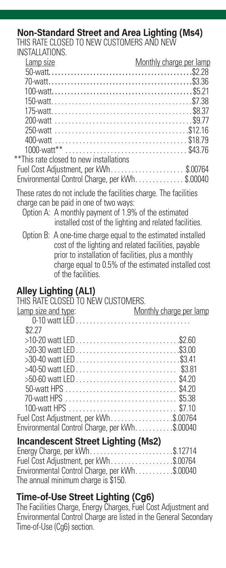### **Non-Standard Street and Area Lighting (Ms4)**

THIS RATE CLOSED TO NEW CUSTOMERS AND NEW INSTALLATIONS

| Lamp size                                       | Monthly charge per lamp |
|-------------------------------------------------|-------------------------|
|                                                 |                         |
|                                                 |                         |
|                                                 |                         |
|                                                 |                         |
|                                                 |                         |
|                                                 |                         |
|                                                 |                         |
|                                                 |                         |
|                                                 |                         |
| **This rate closed to new installations         |                         |
| Fuel Cost Adjustment, per kWh\$.00764           |                         |
| Environmental Control Charge, per kWh. \$.00040 |                         |
|                                                 |                         |

These rates do not include the facilities charge. The facilities charge can be paid in one of two ways:

- Option A: A monthly payment of 1.9% of the estimated installed cost of the lighting and related facilities.
- Option B: A one-time charge equal to the estimated installed cost of the lighting and related facilities, payable prior to installation of facilities, plus a monthly charge equal to 0.5% of the estimated installed cost of the facilities.

## **Alley Lighting (AL1)**

| THIS RATE CLOSED TO NEW CUSTOMERS.            |                         |
|-----------------------------------------------|-------------------------|
| Lamp size and type:                           | Monthly charge per lamp |
| $0-10$ watt $ FD $                            |                         |
| \$227                                         |                         |
|                                               |                         |
|                                               |                         |
|                                               |                         |
|                                               |                         |
|                                               |                         |
|                                               |                         |
|                                               |                         |
|                                               |                         |
| Fuel Cost Adjustment, per kWh\$.00764         |                         |
| Environmental Control Charge, per kWh\$.00040 |                         |
| <b>Incandescent Street Lighting (Ms2)</b>     |                         |
|                                               |                         |

| Energy Charge, per kWh\$.12714                |  |
|-----------------------------------------------|--|
| Fuel Cost Adjustment, per kWh\$.00764         |  |
| Environmental Control Charge, per kWh\$.00040 |  |
| The annual minimum charge is \$150.           |  |

#### **Time-of-Use Street Lighting (Cg6)**

The Facilities Charge, Energy Charges, Fuel Cost Adjustment and Environmental Control Charge are listed in the General Secondary Time-of-Use (Cg6) section.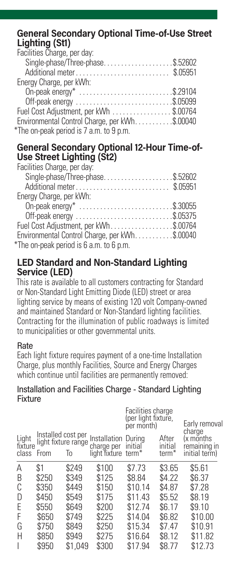#### **General Secondary Optional Time-of-Use Street Lighting (St1)**

| Facilities Charge, per day:                   |  |
|-----------------------------------------------|--|
| Single-phase/Three-phase\$.52602              |  |
| Additional meter\$.05951                      |  |
| Energy Charge, per kWh:                       |  |
| On-peak energy* \$.29104                      |  |
| Off-peak energy \$.05099                      |  |
| Fuel Cost Adjustment, per kWh \$.00764        |  |
| Environmental Control Charge, per kWh\$.00040 |  |
| *The on-peak period is 7 a.m. to 9 p.m.       |  |

#### **General Secondary Optional 12-Hour Time-of-Use Street Lighting (St2)**

| Facilities Charge, per day:                   |  |
|-----------------------------------------------|--|
| Single-phase/Three-phase\$.52602              |  |
| Additional meter\$.05951                      |  |
| Energy Charge, per kWh:                       |  |
| On-peak energy* \$.30055                      |  |
|                                               |  |
| Fuel Cost Adjustment, per kWh\$.00764         |  |
| Environmental Control Charge, per kWh\$.00040 |  |
| *The on-peak period is 6 a.m. to 6 p.m.       |  |

#### **LED Standard and Non-Standard Lighting Service (LED)**

This rate is available to all customers contracting for Standard or Non-Standard Light Emitting Diode (LED) street or area lighting service by means of existing 120 volt Company-owned and maintained Standard or Non-Standard lighting facilities. Contracting for the illumination of public roadways is limited to municipalities or other governmental units.

#### **Rate**

Each light fixture requires payment of a one-time Installation Charge, plus monthly Facilities, Source and Energy Charges which continue until facilities are permanently removed:

#### Installation and Facilities Charge - Standard Lighting **Fixture**

|                          |       |                    | Facilities charge<br>(per light fixture,<br>per month) |                                                                  | Early removal                                        |  |
|--------------------------|-------|--------------------|--------------------------------------------------------|------------------------------------------------------------------|------------------------------------------------------|--|
| Light<br>fixture<br>From | To    |                    |                                                        | After<br>initial<br>term <sup>*</sup>                            | charge<br>(x months<br>remaining in<br>initial term) |  |
| \$1                      | \$249 | \$100              | \$7.73                                                 | \$3.65                                                           | \$5.61                                               |  |
| \$250                    | \$349 | \$125              | \$8.84                                                 | \$4.22                                                           | \$6.37                                               |  |
| \$350                    | \$449 | \$150              | \$10.14                                                | \$4.87                                                           | \$7.28                                               |  |
| \$450                    | \$549 | \$175              | \$11.43                                                | \$5.52                                                           | \$8.19                                               |  |
| \$550                    | \$649 | \$200              | \$12.74                                                | \$6.17                                                           | \$9.10                                               |  |
| \$650                    | \$749 | \$225              | \$14.04                                                | \$6.82                                                           | \$10.00                                              |  |
| \$750                    | \$849 | \$250              | \$15.34                                                | \$7.47                                                           | \$10.91                                              |  |
| \$850                    | \$949 | \$275              | \$16.64                                                | \$8.12                                                           | \$11.82                                              |  |
| \$950                    |       | \$300              | \$17.94                                                | \$8.77                                                           | \$12.73                                              |  |
|                          |       | Installed cost per | light fixture range<br>\$1.049                         | Installation During<br>charge per initial<br>light fixture term* |                                                      |  |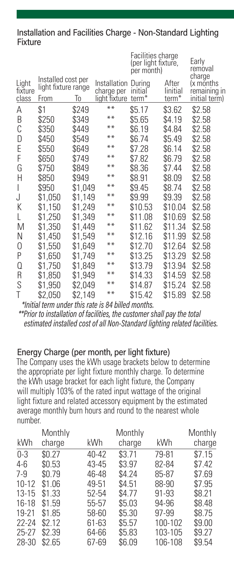#### Installation and Facilities Charge - Non-Standard Lighting **Fixture**

|                           |                                                   |         |                                                    | Facilities charge<br>(per light fixture,<br>per month) |                            | Early<br>removal                                     |
|---------------------------|---------------------------------------------------|---------|----------------------------------------------------|--------------------------------------------------------|----------------------------|------------------------------------------------------|
| Light<br>fixture<br>class | Installed cost per<br>light fixture range<br>From | To      | Installation During<br>charge per<br>light fixture | initial<br>term <sup>*</sup>                           | After<br>linitial<br>term* | charge<br>(x months<br>remaining in<br>initial term) |
| Α                         | \$1                                               | \$249   | $***$                                              | \$5.17                                                 | \$3.62                     | \$2.58                                               |
| B                         | \$250                                             | \$349   | $***$                                              | \$5.65                                                 | \$4.19                     | \$2.58                                               |
| С                         | \$350                                             | \$449   | $***$                                              | \$6.19                                                 | \$4.84                     | \$2.58                                               |
| D                         | \$450                                             | \$549   | $***$                                              | \$6.74                                                 | \$5.49                     | \$2.58                                               |
| E                         | \$550                                             | \$649   | $***$                                              | \$7.28                                                 | \$6.14                     | \$2.58                                               |
| F                         | \$650                                             | \$749   | $***$                                              | \$7.82                                                 | \$6.79                     | \$2.58                                               |
| G                         | \$750                                             | \$849   | $***$                                              | \$8.36                                                 | \$7.44                     | \$2.58                                               |
| Н                         | \$850                                             | \$949   | $***$                                              | \$8.91                                                 | \$8.09                     | \$2.58                                               |
| I                         | \$950                                             | \$1,049 | $***$                                              | \$9.45                                                 | \$8.74                     | \$2.58                                               |
| J                         | \$1,050                                           | \$1,149 | $***$                                              | \$9.99                                                 | \$9.39                     | \$2.58                                               |
| Κ                         | \$1,150                                           | \$1,249 | $***$                                              | \$10.53                                                | \$10.04                    | \$2.58                                               |
| L                         | \$1,250                                           | \$1,349 | $***$                                              | \$11.08                                                | \$10.69                    | \$2.58                                               |
| M                         | \$1,350                                           | \$1,449 | $***$                                              | \$11.62                                                | \$11.34                    | \$2.58                                               |
| N                         | \$1,450                                           | \$1,549 | $***$                                              | \$12.16                                                | \$11.99                    | \$2.58                                               |
| 0                         | \$1,550                                           | \$1,649 | $***$                                              | \$12.70                                                | \$12.64                    | \$2.58                                               |
| P                         | \$1,650                                           | \$1,749 | $***$                                              | \$13.25                                                | \$13.29                    | \$2.58                                               |
| Q                         | \$1,750                                           | \$1,849 | $***$                                              | \$13.79                                                | \$13.94                    | \$2.58                                               |
| R                         | \$1,850                                           | \$1,949 | $***$                                              | \$14.33                                                | \$14.59                    | \$2.58                                               |
| S                         | \$1,950                                           | \$2,049 | $***$                                              | \$14.87                                                | \$15.24                    | \$2.58                                               |
| T                         | \$2,050                                           | \$2,149 | $***$                                              | \$15.42                                                | \$15.89                    | \$2.58                                               |

 *\*Initial term under this rate is 84 billed months.*

 *\*\*Prior to installation of facilities, the customer shall pay the total estimated installed cost of all Non-Standard lighting related facilities.*

#### Energy Charge (per month, per light fixture)

The Company uses the kWh usage brackets below to determine the appropriate per light fixture monthly charge. To determine the kWh usage bracket for each light fixture, the Company will multiply 103% of the rated input wattage of the original light fixture and related accessory equipment by the estimated average monthly burn hours and round to the nearest whole number.

|        |           | Monthly |           | Monthly |
|--------|-----------|---------|-----------|---------|
| charge | kWh       | charge  | kWh       | charge  |
| \$0.27 | $40 - 42$ | \$3.71  | 79-81     | \$7.15  |
| \$0.53 | 43-45     | \$3.97  | 82-84     | \$7.42  |
| \$0.79 | 46-48     | \$4.24  | 85-87     | \$7.69  |
| \$1.06 | 49-51     | \$4.51  | 88-90     | \$7.95  |
| \$1.33 | 52-54     | \$4.77  | $91 - 93$ | \$8.21  |
| \$1.59 | 55-57     | \$5.03  | 94-96     | \$8.48  |
| \$1.85 | 58-60     | \$5.30  | 97-99     | \$8.75  |
| \$2.12 | 61-63     | \$5.57  | 100-102   | \$9.00  |
| \$2.39 | 64-66     | \$5.83  | 103-105   | \$9.27  |
| \$2.65 | 67-69     | \$6.09  | 106-108   | \$9.54  |
|        | Monthly   |         |           |         |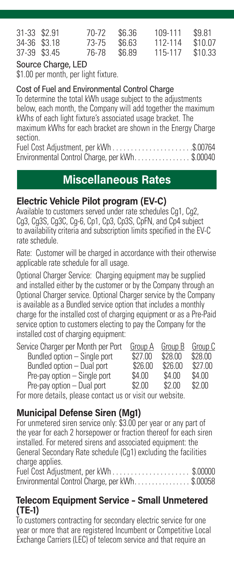| 31-33 \$2.91<br>70-72<br>34-36 \$3.18<br>73-75<br>37-39 \$3.45<br>76-78 | \$6.36<br>\$6.63<br>\$6.89 | 109-111<br>112-114<br>115-117 | \$9.81<br>\$10.07<br>\$10.33 |
|-------------------------------------------------------------------------|----------------------------|-------------------------------|------------------------------|
|-------------------------------------------------------------------------|----------------------------|-------------------------------|------------------------------|

#### Source Charge, LED

\$1.00 per month, per light fixture.

#### Cost of Fuel and Environmental Control Charge

To determine the total kWh usage subject to the adjustments below, each month, the Company will add together the maximum kWhs of each light fixture's associated usage bracket. The maximum kWhs for each bracket are shown in the Energy Charge section.

Fuel Cost Adjustment, per kWh . . . . . . . . . . . . . . . . . . . . . \$.00764 Environmental Control Charge, per kWh. . . . . . . . . . . . . . \$.00040

## **Miscellaneous Rates**

#### **Electric Vehicle Pilot program (EV-C)**

Available to customers served under rate schedules Cq1, Cq2. Cg3, Cg3S, Cg3C, Cg-6, Cp1, Cp3, Cp3S, CpFN, and Cp4 subject to availability criteria and subscription limits specified in the EV-C rate schedule.

Rate: Customer will be charged in accordance with their otherwise applicable rate schedule for all usage.

Optional Charger Service: Charging equipment may be supplied and installed either by the customer or by the Company through an Optional Charger service. Optional Charger service by the Company is available as a Bundled service option that includes a monthly charge for the installed cost of charging equipment or as a Pre-Paid service option to customers electing to pay the Company for the installed cost of charging equipment:

| Service Charger per Month per Port | Group A         | Group B | Group C |
|------------------------------------|-----------------|---------|---------|
| Bundled option - Single port       | \$27.00         | \$28.00 | \$28.00 |
| Bundled option - Dual port         | \$26.00         | \$26.00 | \$27.00 |
| Pre-pay option - Single port       | \$4.00          | \$4.00  | \$4.00  |
| Pre-pay option - Dual port         | \$2.00          | \$2.00  | \$2.00  |
|                                    | $\cdot$ $\cdot$ | .       |         |

For more details, please contact us or visit our website.

## **Municipal Defense Siren (Mg1)**

For unmetered siren service only: \$3.00 per year or any part of the year for each 2 horsepower or fraction thereof for each siren installed. For metered sirens and associated equipment: the General Secondary Rate schedule (Cg1) excluding the facilities charge applies.

Fuel Cost Adjustment, per kWh . . . . . . . . . . . . . . . . . . . . . \$.00000 Environmental Control Charge, per kWh................\$.00058

#### **Telecom Equipment Service – Small Unmetered (TE-1)**

To customers contracting for secondary electric service for one year or more that are registered Incumbent or Competitive Local Exchange Carriers (LEC) of telecom service and that require an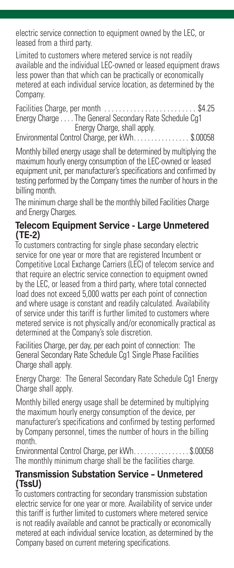electric service connection to equipment owned by the LEC, or leased from a third party.

Limited to customers where metered service is not readily available and the individual LEC-owned or leased equipment draws less power than that which can be practically or economically metered at each individual service location, as determined by the Company.

Facilities Charge, per month . . . . . . . . . . . . . . . . . . . . . . . . . \$4.25 Energy Charge . . . . The General Secondary Rate Schedule Cg1 Energy Charge, shall apply.

Environmental Control Charge, per kWh. . . . . . . . . . . . . . \$.00058

Monthly billed energy usage shall be determined by multiplying the maximum hourly energy consumption of the LEC-owned or leased equipment unit, per manufacturer's specifications and confirmed by testing performed by the Company times the number of hours in the billing month.

The minimum charge shall be the monthly billed Facilities Charge and Energy Charges.

#### **Telecom Equipment Service - Large Unmetered (TE-2)**

To customers contracting for single phase secondary electric service for one year or more that are registered Incumbent or Competitive Local Exchange Carriers (LEC) of telecom service and that require an electric service connection to equipment owned by the LEC, or leased from a third party, where total connected load does not exceed 5,000 watts per each point of connection and where usage is constant and readily calculated. Availability of service under this tariff is further limited to customers where metered service is not physically and/or economically practical as determined at the Company's sole discretion.

Facilities Charge, per day, per each point of connection: The General Secondary Rate Schedule Cg1 Single Phase Facilities Charge shall apply.

Energy Charge: The General Secondary Rate Schedule Cg1 Energy Charge shall apply.

Monthly billed energy usage shall be determined by multiplying the maximum hourly energy consumption of the device, per manufacturer's specifications and confirmed by testing performed by Company personnel, times the number of hours in the billing month.

Environmental Control Charge, per kWh . . . . . . . . . . . . . . . \$.00058 The monthly minimum charge shall be the facilities charge.

#### **Transmission Substation Service – Unmetered (TssU)**

To customers contracting for secondary transmission substation electric service for one year or more. Availability of service under this tariff is further limited to customers where metered service is not readily available and cannot be practically or economically metered at each individual service location, as determined by the Company based on current metering specifications.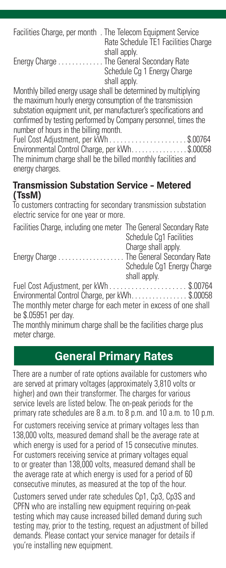|                                          | Facilities Charge, per month. The Telecom Equipment Service<br>Rate Schedule TE1 Facilities Charge<br>shall apply. |
|------------------------------------------|--------------------------------------------------------------------------------------------------------------------|
| Energy Charge The General Secondary Rate |                                                                                                                    |
|                                          | Schedule Cg 1 Energy Charge<br>shall apply.                                                                        |

Monthly billed energy usage shall be determined by multiplying the maximum hourly energy consumption of the transmission substation equipment unit, per manufacturer's specifications and confirmed by testing performed by Company personnel, times the number of hours in the billing month.

Fuel Cost Adjustment, per kWh . . . . . . . . . . . . . . . . . . . . \$.00764 Environmental Control Charge, per kWh. . . . . . . . . . . . . . \$.00058 The minimum charge shall be the billed monthly facilities and energy charges.

#### **Transmission Substation Service – Metered (TssM)**

To customers contracting for secondary transmission substation electric service for one year or more.

| Facilities Charge, including one meter The General Secondary Rate |                            |
|-------------------------------------------------------------------|----------------------------|
|                                                                   | Schedule Cg1 Facilities    |
|                                                                   | Charge shall apply.        |
| Energy Charge  The General Secondary Rate                         |                            |
|                                                                   | Schedule Cg1 Energy Charge |
|                                                                   | shall apply.               |
| Fuel Cost Adjustment, per kWh \$ 00764                            |                            |
| Environmental Control Charge, per kWh. \$.00058                   |                            |
| The monthly meter charge for each meter in excess of one shall    |                            |
| be \$.05951 per day.                                              |                            |
| The monthly minimum charge shall be the facilities charge plus    |                            |

The monthly minimum charge shall be the facilities charge plus meter charge.

## **General Primary Rates**

There are a number of rate options available for customers who are served at primary voltages (approximately 3,810 volts or higher) and own their transformer. The charges for various service levels are listed below. The on-peak periods for the primary rate schedules are 8 a.m. to 8 p.m. and 10 a.m. to 10 p.m.

For customers receiving service at primary voltages less than 138,000 volts, measured demand shall be the average rate at which energy is used for a period of 15 consecutive minutes. For customers receiving service at primary voltages equal to or greater than 138,000 volts, measured demand shall be the average rate at which energy is used for a period of 60 consecutive minutes, as measured at the top of the hour.

Customers served under rate schedules Cp1, Cp3, Cp3S and CPFN who are installing new equipment requiring on-peak testing which may cause increased billed demand during such testing may, prior to the testing, request an adjustment of billed demands. Please contact your service manager for details if you're installing new equipment.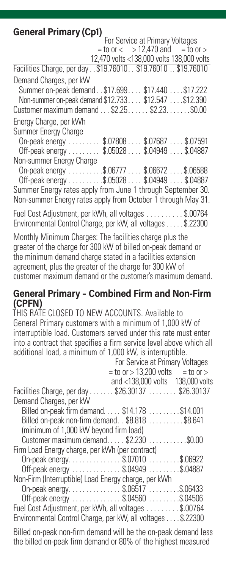**General Primary (Cp1)**<br>For Service at Primary Voltages<br>For  $\alpha$  > 12,470 and = to or >  $=$  to or  $<$  > 12,470 and 12,470 volts <138,000 volts 138,000 volts Facilities Charge, per day . . \$19.76010. . \$19.76010 . . \$19.76010 Demand Charges, per kW Summer on-peak demand . \$17.699 . . . \$17.440 . . . \$17.222 Non-summer on-peak demand \$12.733 . . . \$12.547 . . . \$12.390 Customer maximum demand . . . \$2.25 . . . . . \$2.23 . . . . . . \$0.00 Energy Charge, per kWh Summer Energy Charge On-peak energy . . . . . . . . . \$.07808 . . . \$.07687 . . . . \$.07591 Off-peak energy . . . . . . . . \$.05028 . . . . \$.04949 . . . . \$.04887 Non-summer Energy Charge On-peak energy . . . . . . . . . \$.06777 . . . \$.06672 . . . \$.06588 Off-peak energy . . . . . . . . . \$.05028 . . . . \$.04949 . . . . \$.04887 Summer Energy rates apply from June 1 through September 30. Non-summer Energy rates apply from October 1 through May 31. Fuel Cost Adjustment, per kWh, all voltages . . . . . . . . . \$.00764 Environmental Control Charge, per kW, all voltages . . . . \$.22300

Monthly Minimum Charges: The facilities charge plus the greater of the charge for 300 kW of billed on-peak demand or the minimum demand charge stated in a facilities extension agreement, plus the greater of the charge for 300 kW of customer maximum demand or the customer's maximum demand.

#### **General Primary – Combined Firm and Non-Firm (CPFN)**

THIS RATE CLOSED TO NEW ACCOUNTS. Available to General Primary customers with a minimum of 1,000 kW of interruptible load. Customers served under this rate must enter into a contract that specifies a firm service level above which all additional load, a minimum of 1,000 kW, is interruptible.

|                                                              | For Service at Primary Voltages |  |  |
|--------------------------------------------------------------|---------------------------------|--|--|
| $=$ to or $>$ 13,200 volts $=$ to or $>$                     |                                 |  |  |
| and <138,000 volts 138,000 volts                             |                                 |  |  |
| Facilities Charge, per day \$26.30137 \$26.30137             |                                 |  |  |
| Demand Charges, per kW                                       |                                 |  |  |
| Billed on-peak firm demand \$14.178  \$14.001                |                                 |  |  |
| Billed on-peak non-firm demand. \$8.818 \$8.641              |                                 |  |  |
| (minimum of 1,000 kW beyond firm load)                       |                                 |  |  |
| Customer maximum demand \$2.230  \$0.00                      |                                 |  |  |
| Firm Load Energy charge, per kWh (per contract)              |                                 |  |  |
| On-peak energy\$.07010 \$.06922                              |                                 |  |  |
| Off-peak energy \$.04949 \$.04887                            |                                 |  |  |
| Non-Firm (Interruptible) Load Energy charge, per kWh         |                                 |  |  |
| On-peak energy\$.06517 \$.06433                              |                                 |  |  |
| Off-peak energy \$.04560 \$.04506                            |                                 |  |  |
| Fuel Cost Adjustment, per kWh, all voltages \$.00764         |                                 |  |  |
| Environmental Control Charge, per kW, all voltages  \$.22300 |                                 |  |  |

Billed on-peak non-firm demand will be the on-peak demand less the billed on-peak firm demand or 80% of the highest measured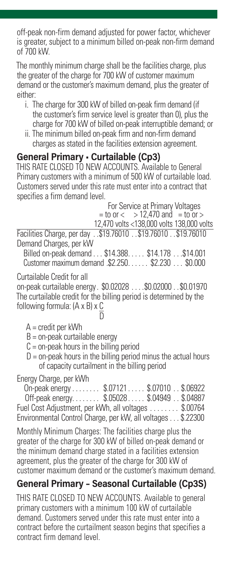off-peak non-firm demand adjusted for power factor, whichever is greater, subject to a minimum billed on-peak non-firm demand of 700 kW.

The monthly minimum charge shall be the facilities charge, plus the greater of the charge for 700 kW of customer maximum demand or the customer's maximum demand, plus the greater of either:

- i. The charge for 300 kW of billed on-peak firm demand (if the customer's firm service level is greater than 0), plus the charge for 700 kW of billed on-peak interruptible demand; or
- ii. The minimum billed on-peak firm and non-firm demand charges as stated in the facilities extension agreement.

#### **General Primary • Curtailable (Cp3)**

THIS RATE CLOSED TO NEW ACCOUNTS. Available to General Primary customers with a minimum of 500 kW of curtailable load. Customers served under this rate must enter into a contract that specifies a firm demand level.

 For Service at Primary Voltages  $=$  to or  $<$   $>$  12,470 and  $=$  to or  $>$ 12,470 volts <138,000 volts 138,000 volts

Facilities Charge, per day . \$19.76010 . \$19.76010 . \$19.76010 Demand Charges, per kW

Billed on-peak demand . . . \$14.388 . . . . \$14.178 . . \$14.001 Customer maximum demand. \$2.250 . . . . . \$2.230 . . . \$0.000

Curtailable Credit for all

on-peak curtailable energy . \$0.02028 . . . \$0.02000 . \$0.01970 The curtailable credit for the billing period is determined by the following formula: (A x B) x C

**D** 

A = credit per kWh

- $B =$  on-peak curtailable energy
- $C =$  on-peak hours in the billing period
- $D =$  on-peak hours in the billing period minus the actual hours of capacity curtailment in the billing period

Energy Charge, per kWh

| On-peak energy \$.07121 \$.07010 \$.06922                   |  |  |
|-------------------------------------------------------------|--|--|
| Off-peak energy \$.05028 \$.04949 \$.04887                  |  |  |
| Fuel Cost Adjustment, per kWh, all voltages \$.00764        |  |  |
| Environmental Control Charge, per kW, all voltages \$.22300 |  |  |

Monthly Minimum Charges: The facilities charge plus the greater of the charge for 300 kW of billed on-peak demand or the minimum demand charge stated in a facilities extension agreement, plus the greater of the charge for 300 kW of customer maximum demand or the customer's maximum demand.

## **General Primary – Seasonal Curtailable (Cp3S)**

THIS RATE CLOSED TO NEW ACCOUNTS. Available to general primary customers with a minimum 100 kW of curtailable demand. Customers served under this rate must enter into a contract before the curtailment season begins that specifies a contract firm demand level.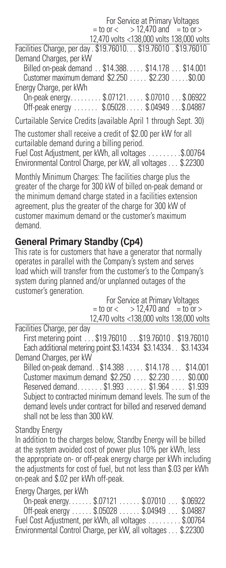For Service at Primary Voltages  $=$  to or  $<$   $>$  12.470 and  $=$  to or  $>$ 12,470 volts <138,000 volts 138,000 volts Facilities Charge, per day . \$19.76010... \$19.76010 . \$19.76010 Demand Charges, per kW Billed on-peak demand . . \$14.388 . . . . \$14.178 . . . \$14.001 Customer maximum demand \$2.250 . . . . \$2.230 . . . . \$0.00 Energy Charge, per kWh On-peak energy . . . . . . . . \$.07121 . . . . \$.07010 . . . \$.06922 Off-peak energy . . . . . . . \$.05028 . . . . \$.04949 . . \$.04887 Curtailable Service Credits (available April 1 through Sept. 30) The customer shall receive a credit of \$2.00 per kW for all

curtailable demand during a billing period. Fuel Cost Adjustment, per kWh, all voltages . . . . . . . . \$.00764 Environmental Control Charge, per kW, all voltages . . . \$.22300

Monthly Minimum Charges: The facilities charge plus the greater of the charge for 300 kW of billed on-peak demand or the minimum demand charge stated in a facilities extension agreement, plus the greater of the charge for 300 kW of customer maximum demand or the customer's maximum demand.

## **General Primary Standby (Cp4)**

This rate is for customers that have a generator that normally operates in parallel with the Company's system and serves load which will transfer from the customer's to the Company's system during planned and/or unplanned outages of the customer's generation.

 For Service at Primary Voltages  $=$  to or  $<$   $>$  12.470 and  $=$  to or  $>$ 12,470 volts <138,000 volts 138,000 volts

Facilities Charge, per day

First metering point . . \$19.76010 . . \$19.76010 . \$19.76010 Each additional metering point \$3.14334 \$3.14334 . . \$3.14334 Demand Charges, per kW

Billed on-peak demand.. \$14.388 . . . . \$14.178 . . . \$14.001 Customer maximum demand \$2.250 . . . \$2.230 . . . . \$0.000 Reserved demand . . . . . . \$1.993 . . . . . . \$1.964 . . . . \$1.939 Subject to contracted minimum demand levels. The sum of the demand levels under contract for billed and reserved demand shall not be less than 300 kW.

## Standby Energy

In addition to the charges below, Standby Energy will be billed at the system avoided cost of power plus 10% per kWh, less the appropriate on- or off-peak energy charge per kWh including the adjustments for cost of fuel, but not less than \$.03 per kWh on-peak and \$.02 per kWh off-peak.

Energy Charges, per kWh

On-peak energy . . . . . . \$.07121 . . . . . . \$.07010 . . . \$.06922 Off-peak energy . . . . . \$.05028 . . . . . \$.04949 . . . \$.04887 Fuel Cost Adjustment, per kWh, all voltages . . . ...... \$.00764 Environmental Control Charge, per kW, all voltages . . . \$.22300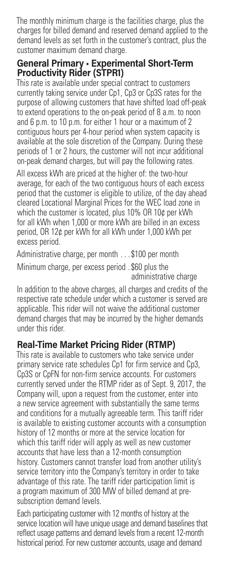The monthly minimum charge is the facilities charge, plus the charges for billed demand and reserved demand applied to the demand levels as set forth in the customer's contract, plus the customer maximum demand charge.

#### **General Primary • Experimental Short-Term Productivity Rider (STPR1)**

This rate is available under special contract to customers currently taking service under Cp1, Cp3 or Cp3S rates for the purpose of allowing customers that have shifted load off-peak to extend operations to the on-peak period of 8 a.m. to noon and 6 p.m. to 10 p.m. for either 1 hour or a maximum of 2 contiguous hours per 4-hour period when system capacity is available at the sole discretion of the Company. During these periods of 1 or 2 hours, the customer will not incur additional on-peak demand charges, but will pay the following rates.

All excess kWh are priced at the higher of: the two-hour average, for each of the two contiguous hours of each excess period that the customer is eligible to utilize, of the day ahead cleared Locational Marginal Prices for the WEC load zone in which the customer is located, plus 10% OR 10¢ per kWh for all kWh when 1,000 or more kWh are billed in an excess period, OR 12¢ per kWh for all kWh under 1,000 kWh per excess period.

Administrative charge, per month . . . \$100 per month Minimum charge, per excess period. \$60 plus the administrative charge

In addition to the above charges, all charges and credits of the respective rate schedule under which a customer is served are applicable. This rider will not waive the additional customer demand charges that may be incurred by the higher demands under this rider.

## **Real-Time Market Pricing Rider (RTMP)**

This rate is available to customers who take service under primary service rate schedules Cp1 for firm service and Cp3, Cp3S or CpFN for non-firm service accounts. For customers currently served under the RTMP rider as of Sept. 9, 2017, the Company will, upon a request from the customer, enter into a new service agreement with substantially the same terms and conditions for a mutually agreeable term. This tariff rider is available to existing customer accounts with a consumption history of 12 months or more at the service location for which this tariff rider will apply as well as new customer accounts that have less than a 12-month consumption history. Customers cannot transfer load from another utility's service territory into the Company's territory in order to take advantage of this rate. The tariff rider participation limit is a program maximum of 300 MW of billed demand at presubscription demand levels.

Each participating customer with 12 months of history at the service location will have unique usage and demand baselines that reflect usage patterns and demand levels from a recent 12-month historical period. For new customer accounts, usage and demand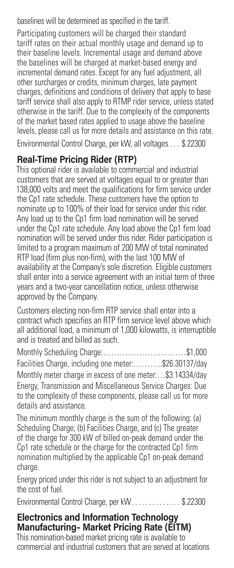baselines will be determined as specified in the tariff.

Participating customers will be charged their standard tariff rates on their actual monthly usage and demand up to their baseline levels. Incremental usage and demand above the baselines will be charged at market-based energy and incremental demand rates. Except for any fuel adjustment, all other surcharges or credits, minimum charges, late payment charges, definitions and conditions of delivery that apply to base tariff service shall also apply to RTMP rider service, unless stated otherwise in the tariff. Due to the complexity of the components of the market based rates applied to usage above the baseline levels, please call us for more details and assistance on this rate.

Environmental Control Charge, per kW, all voltages . . . \$.22300

## **Real-Time Pricing Rider (RTP)**

This optional rider is available to commercial and industrial customers that are served at voltages equal to or greater than 138,000 volts and meet the qualifications for firm service under the Cp1 rate schedule. These customers have the option to nominate up to 100% of their load for service under this rider. Any load up to the Cp1 firm load nomination will be served under the Cp1 rate schedule. Any load above the Cp1 firm load nomination will be served under this rider. Rider participation is limited to a program maximum of 200 MW of total nominated RTP load (firm plus non-firm), with the last 100 MW of availability at the Company's sole discretion. Eligible customers shall enter into a service agreement with an initial term of three years and a two-year cancellation notice, unless otherwise approved by the Company.

Customers electing non-firm RTP service shall enter into a contract which specifies an RTP firm service level above which all additional load, a minimum of 1,000 kilowatts, is interruptible and is treated and billed as such.

Monthly Scheduling Charge:…………………………\$1,000 Facilities Charge, including one meter:………..\$26.30137/day Monthly meter charge in excess of one meter:…\$3.14334/day Energy, Transmission and Miscellaneous Service Charges: Due to the complexity of these components, please call us for more details and assistance.

The minimum monthly charge is the sum of the following: (a) Scheduling Charge; (b) Facilities Charge, and (c) The greater of the charge for 300 kW of billed on-peak demand under the Cp1 rate schedule or the charge for the contracted Cp1 firm nomination multiplied by the applicable Cp1 on-peak demand charge.

Energy priced under this rider is not subject to an adjustment for the cost of fuel.

Environmental Control Charge, per kW. . . . . . . . . . . . \$.22300

#### **Electronics and Information Technology Manufacturing– Market Pricing Rate (EITM)**

This nomination-based market pricing rate is available to commercial and industrial customers that are served at locations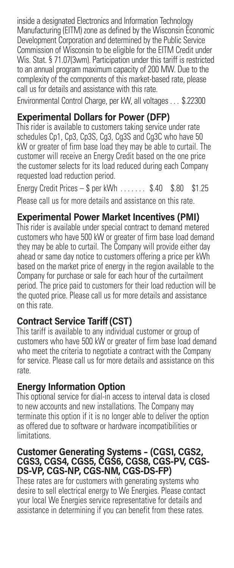inside a designated Electronics and Information Technology Manufacturing (EITM) zone as defined by the Wisconsin Economic Development Corporation and determined by the Public Service Commission of Wisconsin to be eligible for the EITM Credit under Wis. Stat. § 71.07(3wm). Participation under this tariff is restricted to an annual program maximum capacity of 200 MW. Due to the complexity of the components of this market-based rate, please call us for details and assistance with this rate.

Environmental Control Charge, per kW, all voltages . . . \$.22300

## **Experimental Dollars for Power (DFP)**

This rider is available to customers taking service under rate schedules Cp1, Cp3, Cp3S, Cg3, Cg3S and Cg3C who have 50 kW or greater of firm base load they may be able to curtail. The customer will receive an Energy Credit based on the one price the customer selects for its load reduced during each Company requested load reduction period.

Energy Credit Prices – \$ per kWh . . . . . . . \$.40 \$.80 \$1.25 Please call us for more details and assistance on this rate.

## **Experimental Power Market Incentives (PMI)**

This rider is available under special contract to demand metered customers who have 500 kW or greater of firm base load demand they may be able to curtail. The Company will provide either day ahead or same day notice to customers offering a price per kWh based on the market price of energy in the region available to the Company for purchase or sale for each hour of the curtailment period. The price paid to customers for their load reduction will be the quoted price. Please call us for more details and assistance on this rate.

## **Contract Service Tariff(CST)**

This tariff is available to any individual customer or group of customers who have 500 kW or greater of firm base load demand who meet the criteria to negotiate a contract with the Company for service. Please call us for more details and assistance on this rate.

## **Energy Information Option**

This optional service for dial-in access to interval data is closed to new accounts and new installations. The Company may terminate this option if it is no longer able to deliver the option as offered due to software or hardware incompatibilities or **limitations** 

#### **Customer Generating Systems – (CGS1, CGS2, CGS3, CGS4, CGS5, CGS6, CGS8, CGS-PV, CGS-DS-VP, CGS-NP, CGS-NM, CGS-DS-FP)**

These rates are for customers with generating systems who desire to sell electrical energy to We Energies. Please contact your local We Energies service representative for details and assistance in determining if you can benefit from these rates.